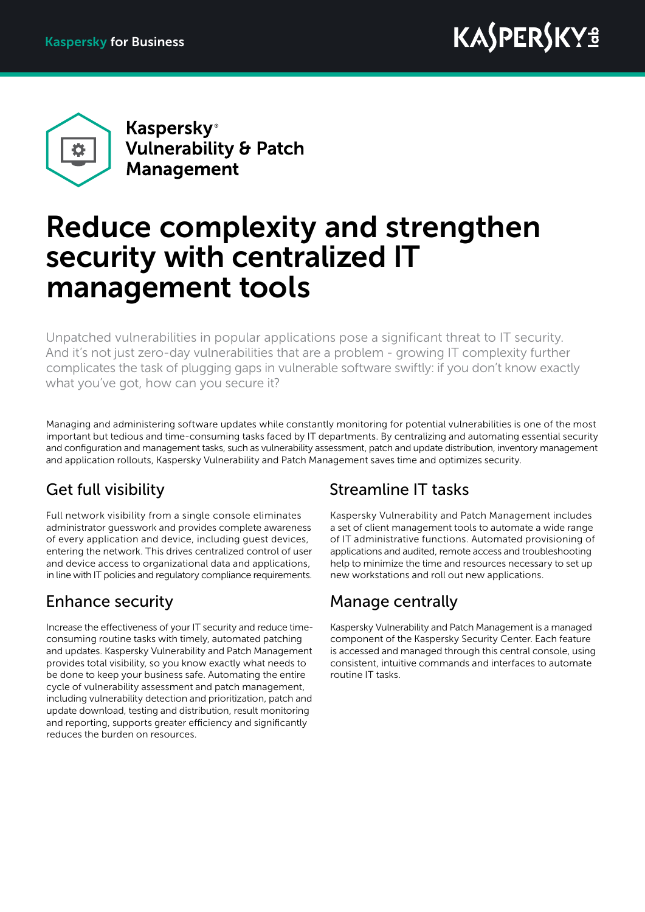

**Kaspersky**<sup>®</sup> **Vulnerability & Patch Management** 

# Reduce complexity and strengthen security with centralized IT management tools

Unpatched vulnerabilities in popular applications pose a significant threat to IT security. And it's not just zero-day vulnerabilities that are a problem - growing IT complexity further complicates the task of plugging gaps in vulnerable software swiftly: if you don't know exactly what you've got, how can you secure it?

Managing and administering software updates while constantly monitoring for potential vulnerabilities is one of the most important but tedious and time-consuming tasks faced by IT departments. By centralizing and automating essential security and configuration and management tasks, such as vulnerability assessment, patch and update distribution, inventory management and application rollouts, Kaspersky Vulnerability and Patch Management saves time and optimizes security.

### Get full visibility

Full network visibility from a single console eliminates administrator guesswork and provides complete awareness of every application and device, including guest devices, entering the network. This drives centralized control of user and device access to organizational data and applications, in line with IT policies and regulatory compliance requirements.

### Enhance security

Increase the effectiveness of your IT security and reduce timeconsuming routine tasks with timely, automated patching and updates. Kaspersky Vulnerability and Patch Management provides total visibility, so you know exactly what needs to be done to keep your business safe. Automating the entire cycle of vulnerability assessment and patch management, including vulnerability detection and prioritization, patch and update download, testing and distribution, result monitoring and reporting, supports greater efficiency and significantly reduces the burden on resources.

#### Streamline IT tasks

Kaspersky Vulnerability and Patch Management includes a set of client management tools to automate a wide range of IT administrative functions. Automated provisioning of applications and audited, remote access and troubleshooting help to minimize the time and resources necessary to set up new workstations and roll out new applications.

#### Manage centrally

Kaspersky Vulnerability and Patch Management is a managed component of the Kaspersky Security Center. Each feature is accessed and managed through this central console, using consistent, intuitive commands and interfaces to automate routine IT tasks.